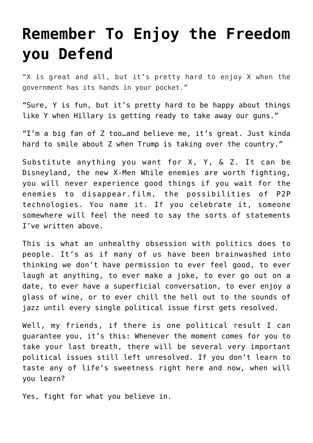## **[Remember To Enjoy the Freedom](https://intellectualtakeout.org/2016/06/remember-to-enjoy-the-freedom-you-defend/) [you Defend](https://intellectualtakeout.org/2016/06/remember-to-enjoy-the-freedom-you-defend/)**

"X is great and all, but it's pretty hard to enjoy X when the government has its hands in your pocket."

"Sure, Y is fun, but it's pretty hard to be happy about things like Y when Hillary is getting ready to take away our guns."

"I'm a big fan of Z too…and believe me, it's great. Just kinda hard to smile about Z when Trump is taking over the country."

Substitute anything you want for X, Y, & Z. It can be Disneyland, the new X-Men While enemies are worth fighting, you will never experience good things if you wait for the enemies to disappear.film, the possibilities of P2P technologies. You name it. If you celebrate it, someone somewhere will feel the need to say the sorts of statements I've written above.

This is what an unhealthy obsession with politics does to people. It's as if many of us have been brainwashed into thinking we don't have permission to ever feel good, to ever laugh at anything, to ever make a joke, to ever go out on a date, to ever have a superficial conversation, to ever enjoy a glass of wine, or to ever chill the hell out to the sounds of jazz until every single political issue first gets resolved.

Well, my friends, if there is one political result I can guarantee you, it's this: Whenever the moment comes for you to take your last breath, there will be several very important political issues still left unresolved. If you don't learn to taste any of life's sweetness right here and now, when will you learn?

Yes, fight for what you believe in.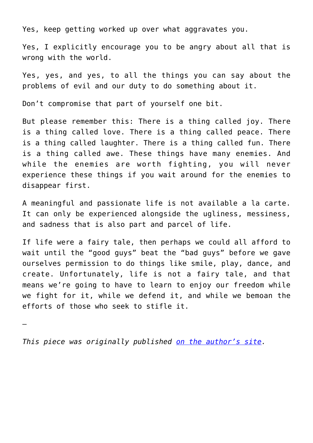Yes, keep getting worked up over what aggravates you.

Yes, I explicitly encourage you to be angry about all that is wrong with the world.

Yes, yes, and yes, to all the things you can say about the problems of evil and our duty to do something about it.

Don't compromise that part of yourself one bit.

But please remember this: There is a thing called joy. There is a thing called love. There is a thing called peace. There is a thing called laughter. There is a thing called fun. There is a thing called awe. These things have many enemies. And while the enemies are worth fighting, you will never experience these things if you wait around for the enemies to disappear first.

A meaningful and passionate life is not available a la carte. It can only be experienced alongside the ugliness, messiness, and sadness that is also part and parcel of life.

If life were a fairy tale, then perhaps we could all afford to wait until the "good guys" beat the "bad guys" before we gave ourselves permission to do things like smile, play, dance, and create. Unfortunately, life is not a fairy tale, and that means we're going to have to learn to enjoy our freedom while we fight for it, while we defend it, and while we bemoan the efforts of those who seek to stifle it.

—

*This piece was originally published [on the author's site.](https://tkcoleman.com/2016/06/28/freedom-enjoy-while-you-defend-it/)*